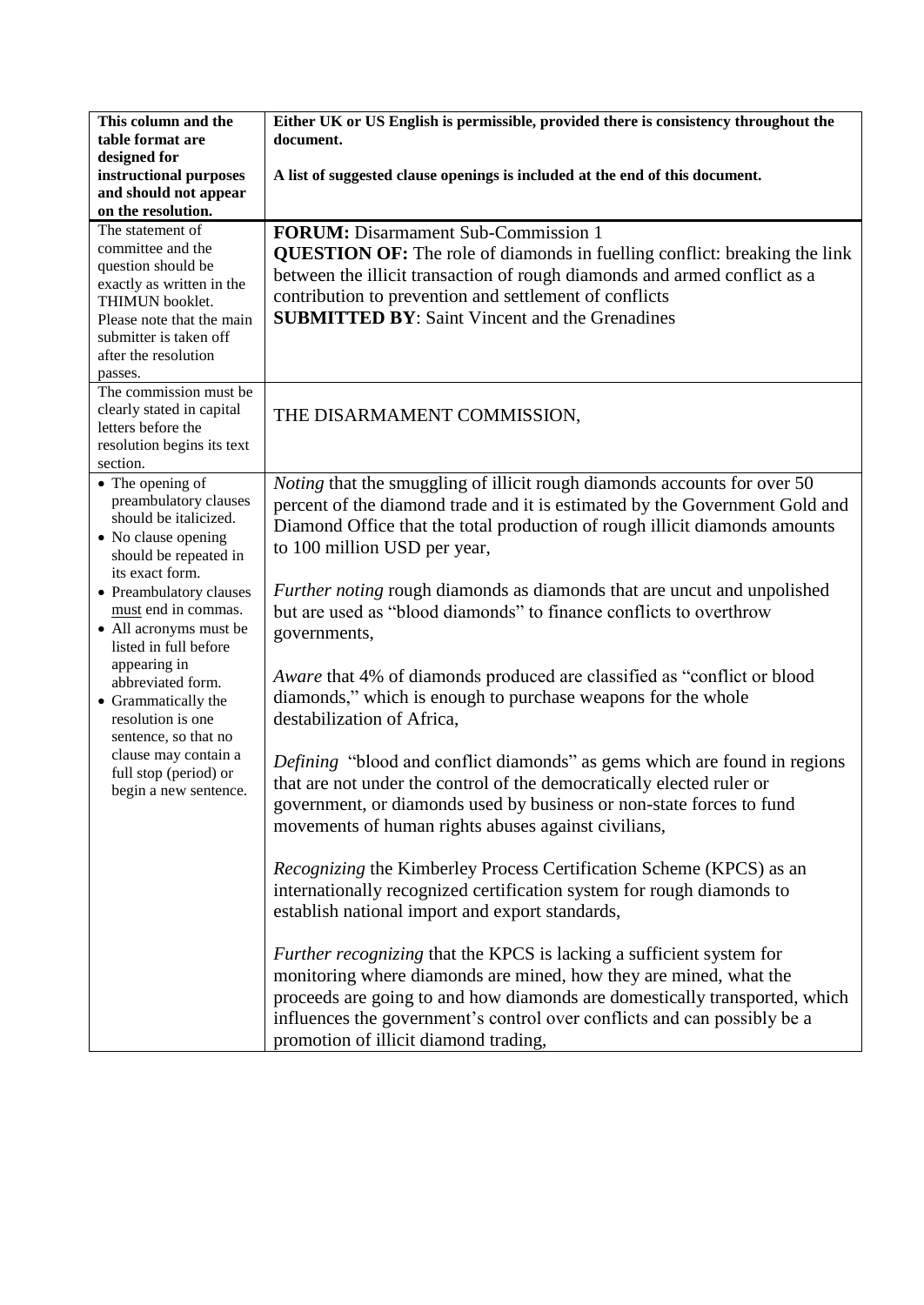| This column and the                             | Either UK or US English is permissible, provided there is consistency throughout the |  |  |  |
|-------------------------------------------------|--------------------------------------------------------------------------------------|--|--|--|
| table format are                                | document.                                                                            |  |  |  |
| designed for                                    |                                                                                      |  |  |  |
| instructional purposes                          | A list of suggested clause openings is included at the end of this document.         |  |  |  |
| and should not appear                           |                                                                                      |  |  |  |
| on the resolution.                              |                                                                                      |  |  |  |
| The statement of                                | <b>FORUM:</b> Disarmament Sub-Commission 1                                           |  |  |  |
| committee and the                               | <b>QUESTION OF:</b> The role of diamonds in fuelling conflict: breaking the link     |  |  |  |
| question should be                              | between the illicit transaction of rough diamonds and armed conflict as a            |  |  |  |
| exactly as written in the                       |                                                                                      |  |  |  |
| THIMUN booklet.                                 | contribution to prevention and settlement of conflicts                               |  |  |  |
| Please note that the main                       | <b>SUBMITTED BY:</b> Saint Vincent and the Grenadines                                |  |  |  |
| submitter is taken off                          |                                                                                      |  |  |  |
| after the resolution                            |                                                                                      |  |  |  |
| passes.                                         |                                                                                      |  |  |  |
| The commission must be                          |                                                                                      |  |  |  |
| clearly stated in capital<br>letters before the | THE DISARMAMENT COMMISSION,                                                          |  |  |  |
| resolution begins its text                      |                                                                                      |  |  |  |
| section.                                        |                                                                                      |  |  |  |
| • The opening of                                | Noting that the smuggling of illicit rough diamonds accounts for over 50             |  |  |  |
| preambulatory clauses                           | percent of the diamond trade and it is estimated by the Government Gold and          |  |  |  |
| should be italicized.                           |                                                                                      |  |  |  |
| • No clause opening                             | Diamond Office that the total production of rough illicit diamonds amounts           |  |  |  |
| should be repeated in                           | to 100 million USD per year,                                                         |  |  |  |
| its exact form.                                 |                                                                                      |  |  |  |
| • Preambulatory clauses                         | Further noting rough diamonds as diamonds that are uncut and unpolished              |  |  |  |
| must end in commas.                             | but are used as "blood diamonds" to finance conflicts to overthrow                   |  |  |  |
| • All acronyms must be                          | governments,                                                                         |  |  |  |
| listed in full before                           |                                                                                      |  |  |  |
| appearing in                                    | Aware that 4% of diamonds produced are classified as "conflict or blood              |  |  |  |
| abbreviated form.                               | diamonds," which is enough to purchase weapons for the whole                         |  |  |  |
| • Grammatically the                             |                                                                                      |  |  |  |
| resolution is one                               | destabilization of Africa,                                                           |  |  |  |
| sentence, so that no<br>clause may contain a    |                                                                                      |  |  |  |
| full stop (period) or                           | <i>Defining</i> "blood and conflict diamonds" as gems which are found in regions     |  |  |  |
| begin a new sentence.                           | that are not under the control of the democratically elected ruler or                |  |  |  |
|                                                 | government, or diamonds used by business or non-state forces to fund                 |  |  |  |
|                                                 | movements of human rights abuses against civilians,                                  |  |  |  |
|                                                 |                                                                                      |  |  |  |
|                                                 | Recognizing the Kimberley Process Certification Scheme (KPCS) as an                  |  |  |  |
|                                                 | internationally recognized certification system for rough diamonds to                |  |  |  |
|                                                 |                                                                                      |  |  |  |
|                                                 | establish national import and export standards,                                      |  |  |  |
|                                                 |                                                                                      |  |  |  |
|                                                 | <i>Further recognizing</i> that the KPCS is lacking a sufficient system for          |  |  |  |
|                                                 | monitoring where diamonds are mined, how they are mined, what the                    |  |  |  |
|                                                 | proceeds are going to and how diamonds are domestically transported, which           |  |  |  |
|                                                 | influences the government's control over conflicts and can possibly be a             |  |  |  |
|                                                 | promotion of illicit diamond trading,                                                |  |  |  |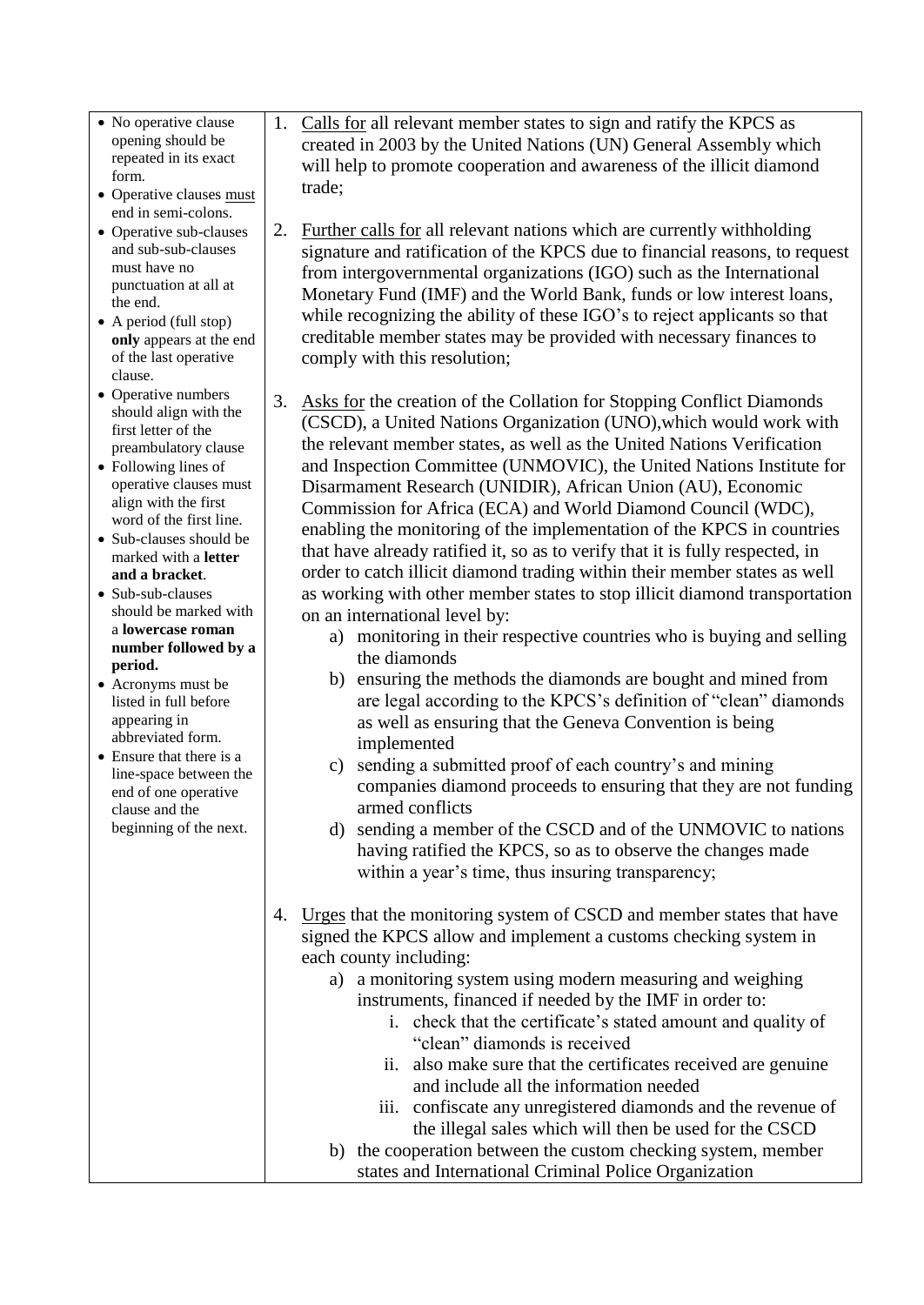- No operative clause opening should be repeated in its exact form.
- Operative clauses must end in semi-colons.
- Operative sub-clauses and sub-sub-clauses must have no punctuation at all at the end.
- A period (full stop) **only** appears at the end of the last operative clause.
- Operative numbers should align with the first letter of the preambulatory clause
- Following lines of operative clauses must align with the first word of the first line.
- Sub-clauses should be marked with a **letter and a bracket**.
- Sub-sub-clauses should be marked with a **lowercase roman number followed by a period.**
- Acronyms must be listed in full before appearing in abbreviated form.
- Ensure that there is a line-space between the end of one operative clause and the beginning of the next.
- 1. Calls for all relevant member states to sign and ratify the KPCS as created in 2003 by the United Nations (UN) General Assembly which will help to promote cooperation and awareness of the illicit diamond trade;
- 2. Further calls for all relevant nations which are currently withholding signature and ratification of the KPCS due to financial reasons, to request from intergovernmental organizations (IGO) such as the International Monetary Fund (IMF) and the World Bank, funds or low interest loans, while recognizing the ability of these IGO's to reject applicants so that creditable member states may be provided with necessary finances to comply with this resolution;
- 3. Asks for the creation of the Collation for Stopping Conflict Diamonds (CSCD), a United Nations Organization (UNO),which would work with the relevant member states, as well as the United Nations Verification and Inspection Committee (UNMOVIC), the United Nations Institute for Disarmament Research (UNIDIR), African Union (AU), Economic Commission for Africa (ECA) and World Diamond Council (WDC), enabling the monitoring of the implementation of the KPCS in countries that have already ratified it, so as to verify that it is fully respected, in order to catch illicit diamond trading within their member states as well as working with other member states to stop illicit diamond transportation on an international level by:
	- a) monitoring in their respective countries who is buying and selling the diamonds
	- b) ensuring the methods the diamonds are bought and mined from are legal according to the KPCS's definition of "clean" diamonds as well as ensuring that the Geneva Convention is being implemented
	- c) sending a submitted proof of each country's and mining companies diamond proceeds to ensuring that they are not funding armed conflicts
	- d) sending a member of the CSCD and of the UNMOVIC to nations having ratified the KPCS, so as to observe the changes made within a year's time, thus insuring transparency;
- 4. Urges that the monitoring system of CSCD and member states that have signed the KPCS allow and implement a customs checking system in each county including:
	- a) a monitoring system using modern measuring and weighing instruments, financed if needed by the IMF in order to:
		- i. check that the certificate's stated amount and quality of "clean" diamonds is received
		- ii. also make sure that the certificates received are genuine and include all the information needed
		- iii. confiscate any unregistered diamonds and the revenue of the illegal sales which will then be used for the CSCD
	- b) the cooperation between the custom checking system, member states and International Criminal Police Organization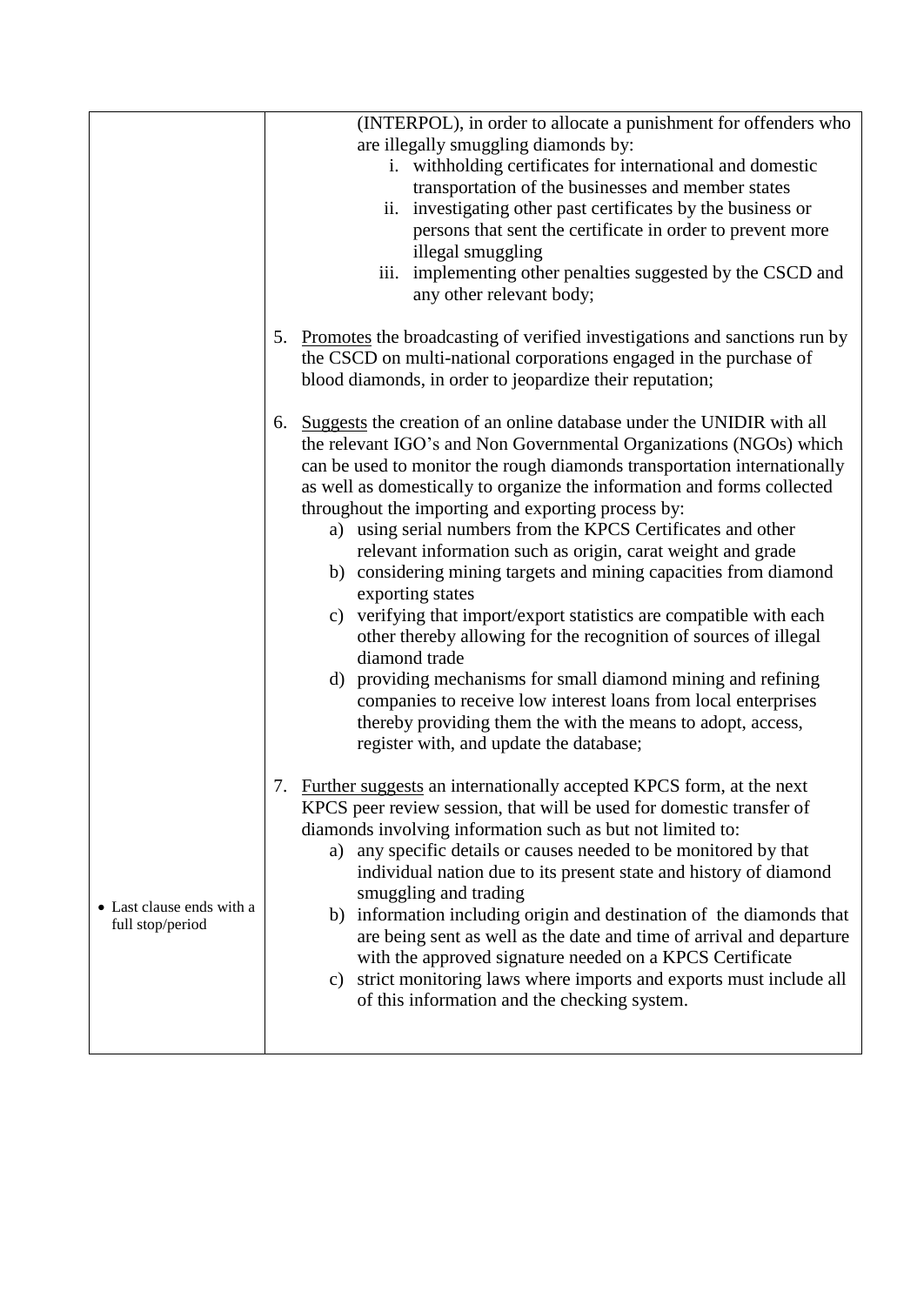|                                               | (INTERPOL), in order to allocate a punishment for offenders who<br>are illegally smuggling diamonds by:<br>i. withholding certificates for international and domestic<br>transportation of the businesses and member states<br>ii. investigating other past certificates by the business or<br>persons that sent the certificate in order to prevent more<br>illegal smuggling<br>iii. implementing other penalties suggested by the CSCD and<br>any other relevant body;                                                                                                                                                                                                                                                                                                                                                                                                                                                                                                                                       |
|-----------------------------------------------|-----------------------------------------------------------------------------------------------------------------------------------------------------------------------------------------------------------------------------------------------------------------------------------------------------------------------------------------------------------------------------------------------------------------------------------------------------------------------------------------------------------------------------------------------------------------------------------------------------------------------------------------------------------------------------------------------------------------------------------------------------------------------------------------------------------------------------------------------------------------------------------------------------------------------------------------------------------------------------------------------------------------|
|                                               | Promotes the broadcasting of verified investigations and sanctions run by<br>5.<br>the CSCD on multi-national corporations engaged in the purchase of<br>blood diamonds, in order to jeopardize their reputation;                                                                                                                                                                                                                                                                                                                                                                                                                                                                                                                                                                                                                                                                                                                                                                                               |
|                                               | Suggests the creation of an online database under the UNIDIR with all<br>6.<br>the relevant IGO's and Non Governmental Organizations (NGOs) which<br>can be used to monitor the rough diamonds transportation internationally<br>as well as domestically to organize the information and forms collected<br>throughout the importing and exporting process by:<br>a) using serial numbers from the KPCS Certificates and other<br>relevant information such as origin, carat weight and grade<br>b) considering mining targets and mining capacities from diamond<br>exporting states<br>verifying that import/export statistics are compatible with each<br>$\mathbf{c})$<br>other thereby allowing for the recognition of sources of illegal<br>diamond trade<br>providing mechanisms for small diamond mining and refining<br>d)<br>companies to receive low interest loans from local enterprises<br>thereby providing them the with the means to adopt, access,<br>register with, and update the database; |
| • Last clause ends with a<br>full stop/period | Further suggests an internationally accepted KPCS form, at the next<br>7.<br>KPCS peer review session, that will be used for domestic transfer of<br>diamonds involving information such as but not limited to:<br>a) any specific details or causes needed to be monitored by that<br>individual nation due to its present state and history of diamond<br>smuggling and trading<br>b) information including origin and destination of the diamonds that<br>are being sent as well as the date and time of arrival and departure<br>with the approved signature needed on a KPCS Certificate<br>strict monitoring laws where imports and exports must include all<br>C)<br>of this information and the checking system.                                                                                                                                                                                                                                                                                        |